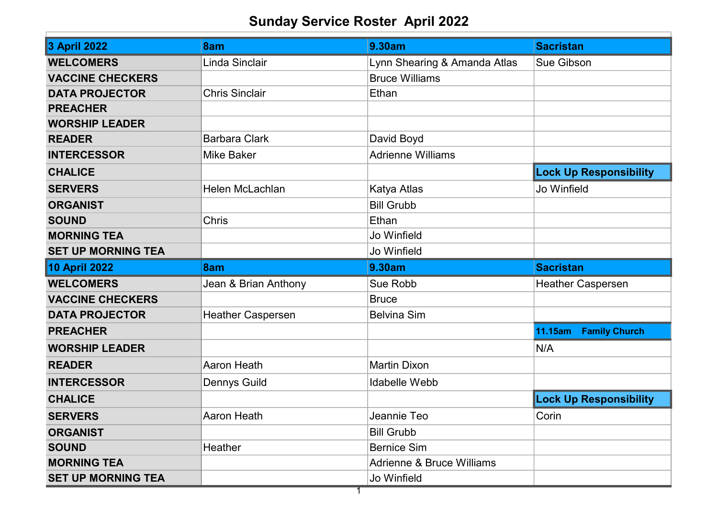## Sunday Service Roster April 2022

| <b>3 April 2022</b>       | 8am                      | 9.30am                               | <b>Sacristan</b>              |
|---------------------------|--------------------------|--------------------------------------|-------------------------------|
| <b>WELCOMERS</b>          | Linda Sinclair           | Lynn Shearing & Amanda Atlas         | Sue Gibson                    |
| <b>VACCINE CHECKERS</b>   |                          | <b>Bruce Williams</b>                |                               |
| <b>DATA PROJECTOR</b>     | <b>Chris Sinclair</b>    | Ethan                                |                               |
| <b>PREACHER</b>           |                          |                                      |                               |
| <b>WORSHIP LEADER</b>     |                          |                                      |                               |
| <b>READER</b>             | <b>Barbara Clark</b>     | David Boyd                           |                               |
| <b>INTERCESSOR</b>        | <b>Mike Baker</b>        | <b>Adrienne Williams</b>             |                               |
| <b>CHALICE</b>            |                          |                                      | <b>Lock Up Responsibility</b> |
| <b>SERVERS</b>            | <b>Helen McLachlan</b>   | Katya Atlas                          | Jo Winfield                   |
| <b>ORGANIST</b>           |                          | <b>Bill Grubb</b>                    |                               |
| <b>SOUND</b>              | <b>Chris</b>             | Ethan                                |                               |
| <b>MORNING TEA</b>        |                          | Jo Winfield                          |                               |
| <b>SET UP MORNING TEA</b> |                          | Jo Winfield                          |                               |
|                           |                          |                                      |                               |
| 10 April 2022             | 8am                      | 9.30am                               | <b>Sacristan</b>              |
| <b>WELCOMERS</b>          | Jean & Brian Anthony     | Sue Robb                             | <b>Heather Caspersen</b>      |
| <b>VACCINE CHECKERS</b>   |                          | <b>Bruce</b>                         |                               |
| <b>DATA PROJECTOR</b>     | <b>Heather Caspersen</b> | <b>Belvina Sim</b>                   |                               |
| <b>PREACHER</b>           |                          |                                      | 11.15am Family Church         |
| <b>WORSHIP LEADER</b>     |                          |                                      | N/A                           |
| <b>READER</b>             | <b>Aaron Heath</b>       | <b>Martin Dixon</b>                  |                               |
| <b>INTERCESSOR</b>        | <b>Dennys Guild</b>      | <b>Idabelle Webb</b>                 |                               |
| <b>CHALICE</b>            |                          |                                      | <b>Lock Up Responsibility</b> |
| <b>SERVERS</b>            | Aaron Heath              | Jeannie Teo                          | Corin                         |
| <b>ORGANIST</b>           |                          | <b>Bill Grubb</b>                    |                               |
| <b>SOUND</b>              | Heather                  | <b>Bernice Sim</b>                   |                               |
| <b>MORNING TEA</b>        |                          | <b>Adrienne &amp; Bruce Williams</b> |                               |